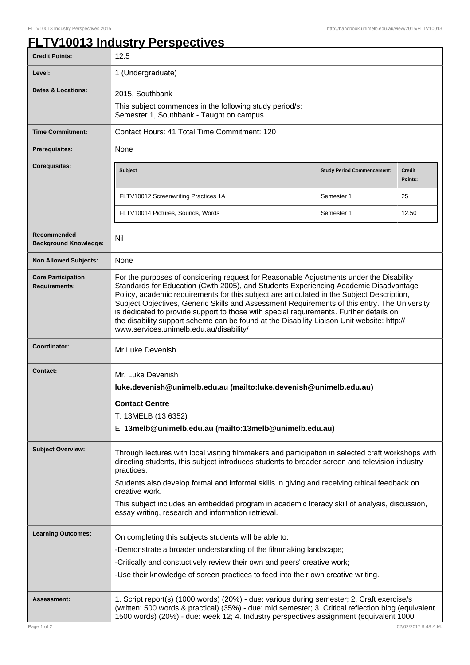## **FLTV10013 Industry Perspectives**

| <b>Credit Points:</b>                             | 12.5                                                                                                                                                                                                                                                                                                                                                                                                                                                                                                                                                                                                             |                                   |                          |
|---------------------------------------------------|------------------------------------------------------------------------------------------------------------------------------------------------------------------------------------------------------------------------------------------------------------------------------------------------------------------------------------------------------------------------------------------------------------------------------------------------------------------------------------------------------------------------------------------------------------------------------------------------------------------|-----------------------------------|--------------------------|
| Level:                                            | 1 (Undergraduate)                                                                                                                                                                                                                                                                                                                                                                                                                                                                                                                                                                                                |                                   |                          |
| <b>Dates &amp; Locations:</b>                     | 2015, Southbank                                                                                                                                                                                                                                                                                                                                                                                                                                                                                                                                                                                                  |                                   |                          |
|                                                   | This subject commences in the following study period/s:<br>Semester 1, Southbank - Taught on campus.                                                                                                                                                                                                                                                                                                                                                                                                                                                                                                             |                                   |                          |
| <b>Time Commitment:</b>                           | Contact Hours: 41 Total Time Commitment: 120                                                                                                                                                                                                                                                                                                                                                                                                                                                                                                                                                                     |                                   |                          |
| <b>Prerequisites:</b>                             | None                                                                                                                                                                                                                                                                                                                                                                                                                                                                                                                                                                                                             |                                   |                          |
| <b>Corequisites:</b>                              | <b>Subject</b>                                                                                                                                                                                                                                                                                                                                                                                                                                                                                                                                                                                                   | <b>Study Period Commencement:</b> | <b>Credit</b><br>Points: |
|                                                   | FLTV10012 Screenwriting Practices 1A                                                                                                                                                                                                                                                                                                                                                                                                                                                                                                                                                                             | Semester 1                        | 25                       |
|                                                   | FLTV10014 Pictures, Sounds, Words                                                                                                                                                                                                                                                                                                                                                                                                                                                                                                                                                                                | Semester 1                        | 12.50                    |
| Recommended<br><b>Background Knowledge:</b>       | Nil                                                                                                                                                                                                                                                                                                                                                                                                                                                                                                                                                                                                              |                                   |                          |
| <b>Non Allowed Subjects:</b>                      | None                                                                                                                                                                                                                                                                                                                                                                                                                                                                                                                                                                                                             |                                   |                          |
| <b>Core Participation</b><br><b>Requirements:</b> | For the purposes of considering request for Reasonable Adjustments under the Disability<br>Standards for Education (Cwth 2005), and Students Experiencing Academic Disadvantage<br>Policy, academic requirements for this subject are articulated in the Subject Description,<br>Subject Objectives, Generic Skills and Assessment Requirements of this entry. The University<br>is dedicated to provide support to those with special requirements. Further details on<br>the disability support scheme can be found at the Disability Liaison Unit website: http://<br>www.services.unimelb.edu.au/disability/ |                                   |                          |
| Coordinator:                                      | Mr Luke Devenish                                                                                                                                                                                                                                                                                                                                                                                                                                                                                                                                                                                                 |                                   |                          |
| <b>Contact:</b>                                   | Mr. Luke Devenish<br>luke.devenish@unimelb.edu.au (mailto:luke.devenish@unimelb.edu.au)<br><b>Contact Centre</b>                                                                                                                                                                                                                                                                                                                                                                                                                                                                                                 |                                   |                          |
|                                                   | T: 13MELB (13 6352)                                                                                                                                                                                                                                                                                                                                                                                                                                                                                                                                                                                              |                                   |                          |
|                                                   | E: 13melb@unimelb.edu.au (mailto:13melb@unimelb.edu.au)                                                                                                                                                                                                                                                                                                                                                                                                                                                                                                                                                          |                                   |                          |
| <b>Subject Overview:</b>                          | Through lectures with local visiting filmmakers and participation in selected craft workshops with<br>directing students, this subject introduces students to broader screen and television industry<br>practices.<br>Students also develop formal and informal skills in giving and receiving critical feedback on                                                                                                                                                                                                                                                                                              |                                   |                          |
|                                                   | creative work.<br>This subject includes an embedded program in academic literacy skill of analysis, discussion,<br>essay writing, research and information retrieval.                                                                                                                                                                                                                                                                                                                                                                                                                                            |                                   |                          |
| <b>Learning Outcomes:</b>                         | On completing this subjects students will be able to:                                                                                                                                                                                                                                                                                                                                                                                                                                                                                                                                                            |                                   |                          |
|                                                   | -Demonstrate a broader understanding of the filmmaking landscape;                                                                                                                                                                                                                                                                                                                                                                                                                                                                                                                                                |                                   |                          |
|                                                   | -Critically and constuctively review their own and peers' creative work;                                                                                                                                                                                                                                                                                                                                                                                                                                                                                                                                         |                                   |                          |
|                                                   | -Use their knowledge of screen practices to feed into their own creative writing.                                                                                                                                                                                                                                                                                                                                                                                                                                                                                                                                |                                   |                          |
| Assessment:                                       | 1. Script report(s) (1000 words) (20%) - due: various during semester; 2. Craft exercise/s<br>(written: 500 words & practical) (35%) - due: mid semester; 3. Critical reflection blog (equivalent<br>1500 words) (20%) - due: week 12; 4. Industry perspectives assignment (equivalent 1000                                                                                                                                                                                                                                                                                                                      |                                   |                          |